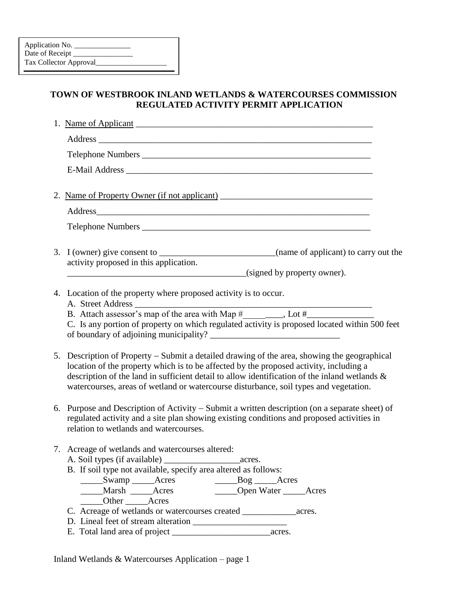## **TOWN OF WESTBROOK INLAND WETLANDS & WATERCOURSES COMMISSION REGULATED ACTIVITY PERMIT APPLICATION**

| 3. I (owner) give consent to ________________________________(name of applicant) to carry out the<br>activity proposed in this application.                                                                                                                                                                                                                                      |
|----------------------------------------------------------------------------------------------------------------------------------------------------------------------------------------------------------------------------------------------------------------------------------------------------------------------------------------------------------------------------------|
| (signed by property owner).                                                                                                                                                                                                                                                                                                                                                      |
| 4. Location of the property where proposed activity is to occur.                                                                                                                                                                                                                                                                                                                 |
| C. Is any portion of property on which regulated activity is proposed located within 500 feet                                                                                                                                                                                                                                                                                    |
| 5. Description of Property – Submit a detailed drawing of the area, showing the geographical<br>location of the property which is to be affected by the proposed activity, including a<br>description of the land in sufficient detail to allow identification of the inland wetlands &<br>watercourses, areas of wetland or watercourse disturbance, soil types and vegetation. |
| 6. Purpose and Description of Activity – Submit a written description (on a separate sheet) of<br>regulated activity and a site plan showing existing conditions and proposed activities in<br>relation to wetlands and watercourses.                                                                                                                                            |
| 7. Acreage of wetlands and watercourses altered:<br>B. If soil type not available, specify area altered as follows:<br>______Swamp ______Acres __________________Bog ______Acres<br>_____Open Water ______Acres<br>Marsh <u>Acres</u><br>______Other _______Acres                                                                                                                |
|                                                                                                                                                                                                                                                                                                                                                                                  |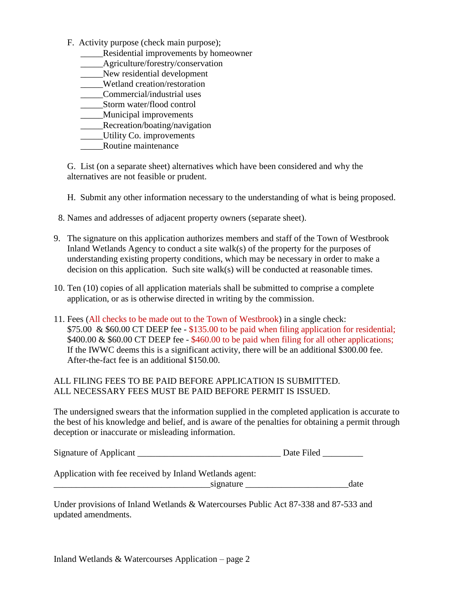- F. Activity purpose (check main purpose);
	- \_\_\_\_\_Residential improvements by homeowner
	- \_\_\_\_\_Agriculture/forestry/conservation
	- \_\_\_\_\_New residential development
	- \_\_\_\_\_Wetland creation/restoration
	- \_\_\_\_\_Commercial/industrial uses
	- \_\_\_\_\_Storm water/flood control
	- \_\_\_\_\_Municipal improvements
	- \_\_\_\_\_\_Recreation/boating/navigation
	- \_\_\_\_\_Utility Co. improvements
	- \_\_\_\_\_Routine maintenance

G. List (on a separate sheet) alternatives which have been considered and why the alternatives are not feasible or prudent.

H. Submit any other information necessary to the understanding of what is being proposed.

- 8. Names and addresses of adjacent property owners (separate sheet).
- 9. The signature on this application authorizes members and staff of the Town of Westbrook Inland Wetlands Agency to conduct a site walk(s) of the property for the purposes of understanding existing property conditions, which may be necessary in order to make a decision on this application. Such site walk(s) will be conducted at reasonable times.
- 10. Ten (10) copies of all application materials shall be submitted to comprise a complete application, or as is otherwise directed in writing by the commission.
- 11. Fees (All checks to be made out to the Town of Westbrook) in a single check: \$75.00 & \$60.00 CT DEEP fee - \$135.00 to be paid when filing application for residential; \$400.00 & \$60.00 CT DEEP fee - \$460.00 to be paid when filing for all other applications; If the IWWC deems this is a significant activity, there will be an additional \$300.00 fee. After-the-fact fee is an additional \$150.00.

## ALL FILING FEES TO BE PAID BEFORE APPLICATION IS SUBMITTED. ALL NECESSARY FEES MUST BE PAID BEFORE PERMIT IS ISSUED.

The undersigned swears that the information supplied in the completed application is accurate to the best of his knowledge and belief, and is aware of the penalties for obtaining a permit through deception or inaccurate or misleading information.

| <b>Signature of Applicant</b> | Date Filed |
|-------------------------------|------------|
|-------------------------------|------------|

Application with fee received by Inland Wetlands agent: signature date

Under provisions of Inland Wetlands & Watercourses Public Act 87-338 and 87-533 and updated amendments.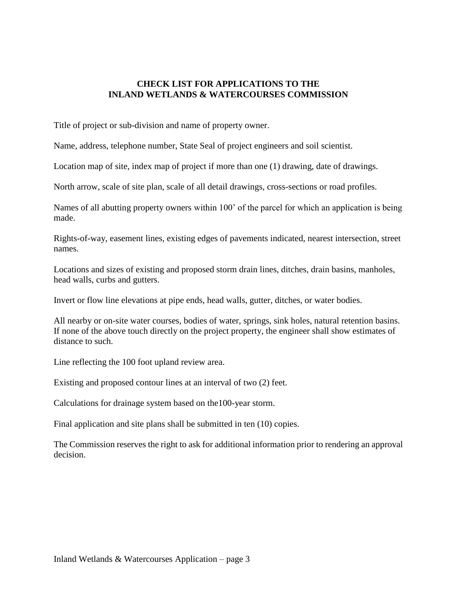## **CHECK LIST FOR APPLICATIONS TO THE INLAND WETLANDS & WATERCOURSES COMMISSION**

Title of project or sub-division and name of property owner.

Name, address, telephone number, State Seal of project engineers and soil scientist.

Location map of site, index map of project if more than one (1) drawing, date of drawings.

North arrow, scale of site plan, scale of all detail drawings, cross-sections or road profiles.

Names of all abutting property owners within 100' of the parcel for which an application is being made.

Rights-of-way, easement lines, existing edges of pavements indicated, nearest intersection, street names.

Locations and sizes of existing and proposed storm drain lines, ditches, drain basins, manholes, head walls, curbs and gutters.

Invert or flow line elevations at pipe ends, head walls, gutter, ditches, or water bodies.

All nearby or on-site water courses, bodies of water, springs, sink holes, natural retention basins. If none of the above touch directly on the project property, the engineer shall show estimates of distance to such.

Line reflecting the 100 foot upland review area.

Existing and proposed contour lines at an interval of two (2) feet.

Calculations for drainage system based on the100-year storm.

Final application and site plans shall be submitted in ten (10) copies.

The Commission reserves the right to ask for additional information prior to rendering an approval decision.